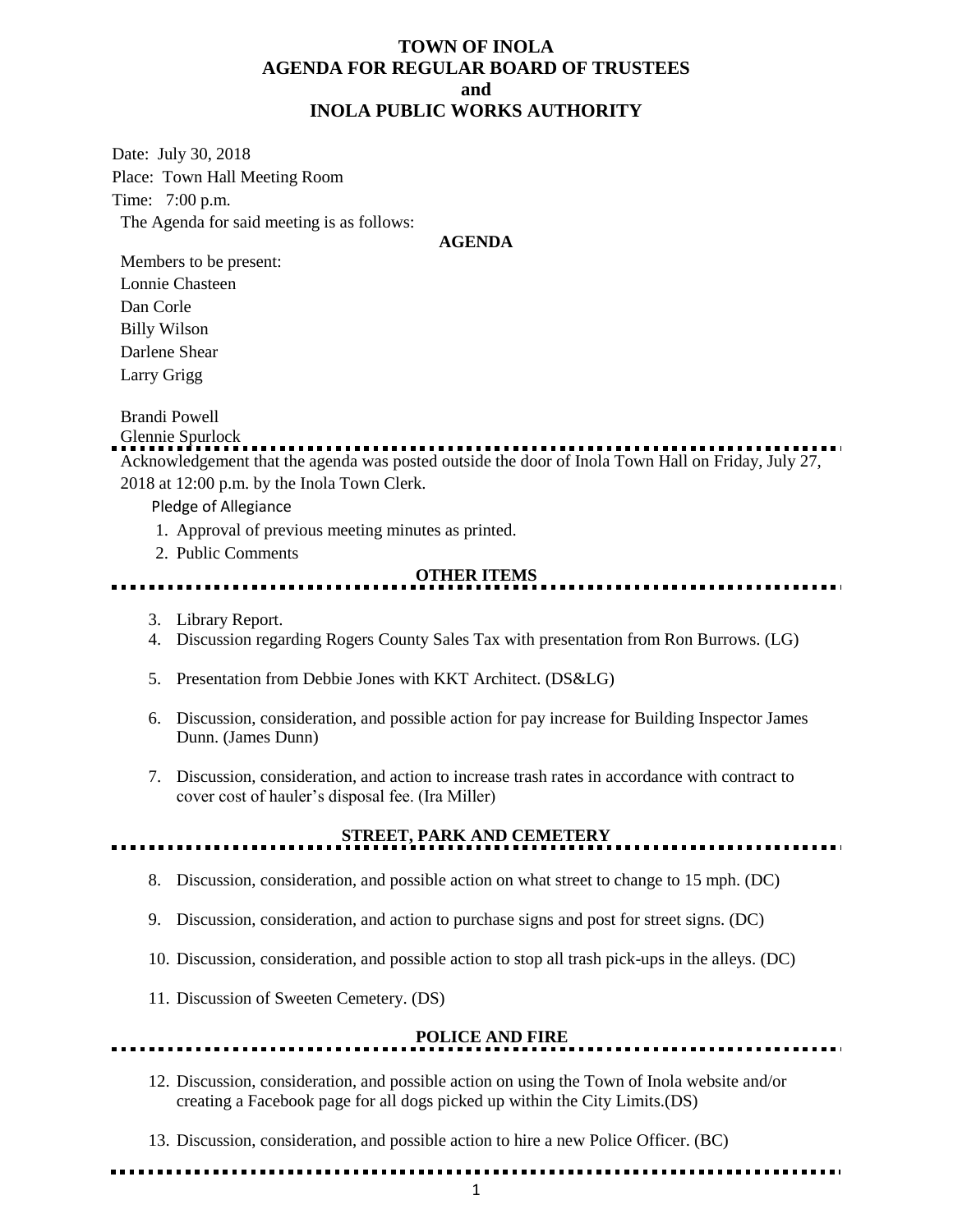### **TOWN OF INOLA AGENDA FOR REGULAR BOARD OF TRUSTEES and INOLA PUBLIC WORKS AUTHORITY**

Date: July 30, 2018 Place: Town Hall Meeting Room Time: 7:00 p.m. The Agenda for said meeting is as follows:

#### **AGENDA**

Members to be present: Lonnie Chasteen Dan Corle Billy Wilson Darlene Shear

Larry Grigg

Brandi Powell

Glennie Spurlock

Acknowledgement that the agenda was posted outside the door of Inola Town Hall on Friday, July 27, 2018 at 12:00 p.m. by the Inola Town Clerk.

Pledge of Allegiance

- 1. Approval of previous meeting minutes as printed.
- 2. Public Comments

#### **OTHER ITEMS**

- 3. Library Report.
- 4. Discussion regarding Rogers County Sales Tax with presentation from Ron Burrows. (LG)
- 5. Presentation from Debbie Jones with KKT Architect. (DS&LG)
- 6. Discussion, consideration, and possible action for pay increase for Building Inspector James Dunn. (James Dunn)
- 7. Discussion, consideration, and action to increase trash rates in accordance with contract to cover cost of hauler's disposal fee. (Ira Miller)

## **STREET, PARK AND CEMETERY**

- 8. Discussion, consideration, and possible action on what street to change to 15 mph. (DC)
- 9. Discussion, consideration, and action to purchase signs and post for street signs. (DC)
- 10. Discussion, consideration, and possible action to stop all trash pick-ups in the alleys. (DC)
- 11. Discussion of Sweeten Cemetery. (DS)

# **POLICE AND FIRE**

- 12. Discussion, consideration, and possible action on using the Town of Inola website and/or creating a Facebook page for all dogs picked up within the City Limits.(DS)
- 13. Discussion, consideration, and possible action to hire a new Police Officer. (BC)
-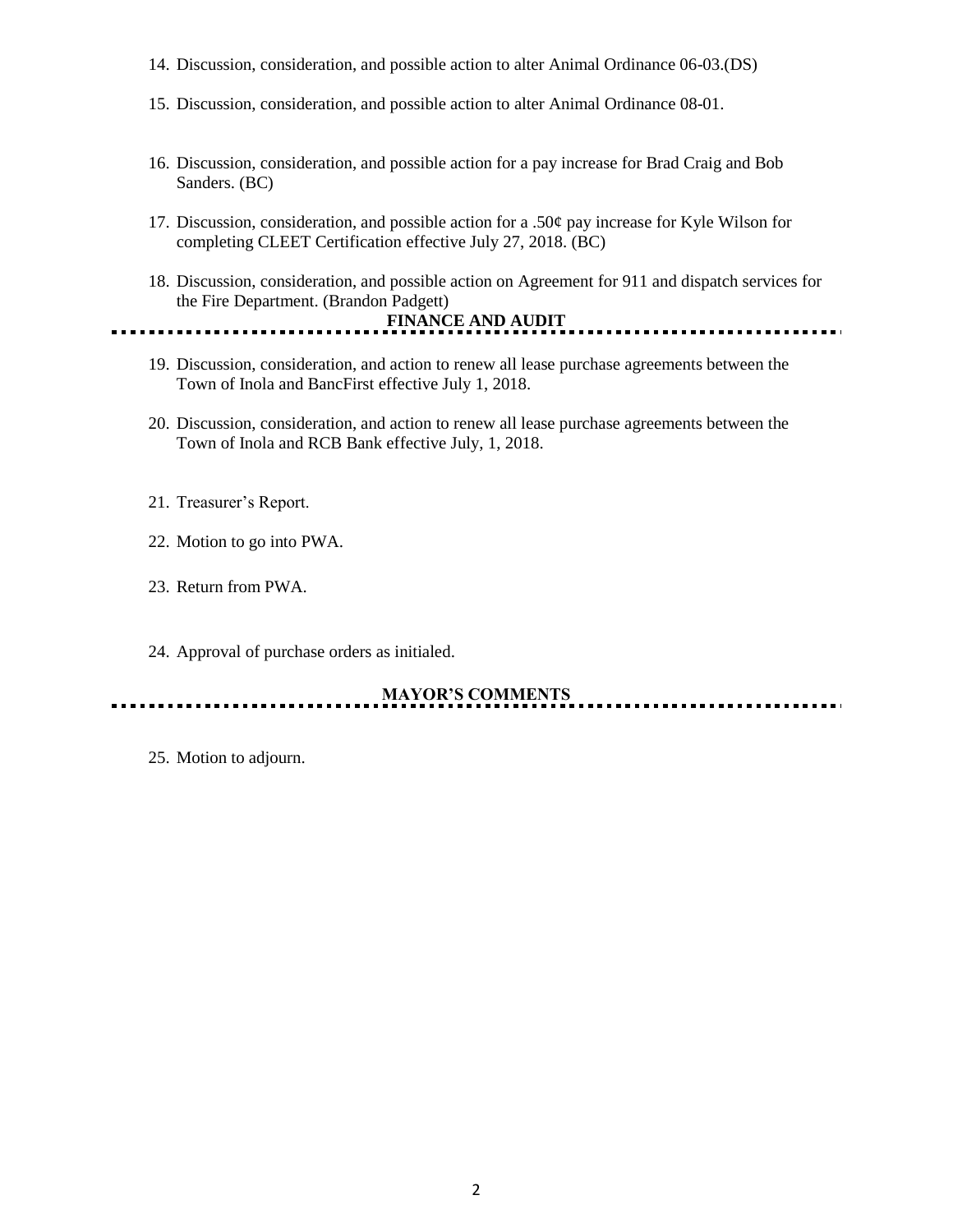- 14. Discussion, consideration, and possible action to alter Animal Ordinance 06-03.(DS)
- 15. Discussion, consideration, and possible action to alter Animal Ordinance 08-01.
- 16. Discussion, consideration, and possible action for a pay increase for Brad Craig and Bob Sanders. (BC)
- 17. Discussion, consideration, and possible action for a .50 $\phi$  pay increase for Kyle Wilson for completing CLEET Certification effective July 27, 2018. (BC)
- 18. Discussion, consideration, and possible action on Agreement for 911 and dispatch services for the Fire Department. (Brandon Padgett)

#### **FINANCE AND AUDIT** <u>......................</u>

- 19. Discussion, consideration, and action to renew all lease purchase agreements between the Town of Inola and BancFirst effective July 1, 2018.
- 20. Discussion, consideration, and action to renew all lease purchase agreements between the Town of Inola and RCB Bank effective July, 1, 2018.
- 21. Treasurer's Report.
- 22. Motion to go into PWA.
- 23. Return from PWA.
- 24. Approval of purchase orders as initialed.

**MAYOR'S COMMENTS**

25. Motion to adjourn.